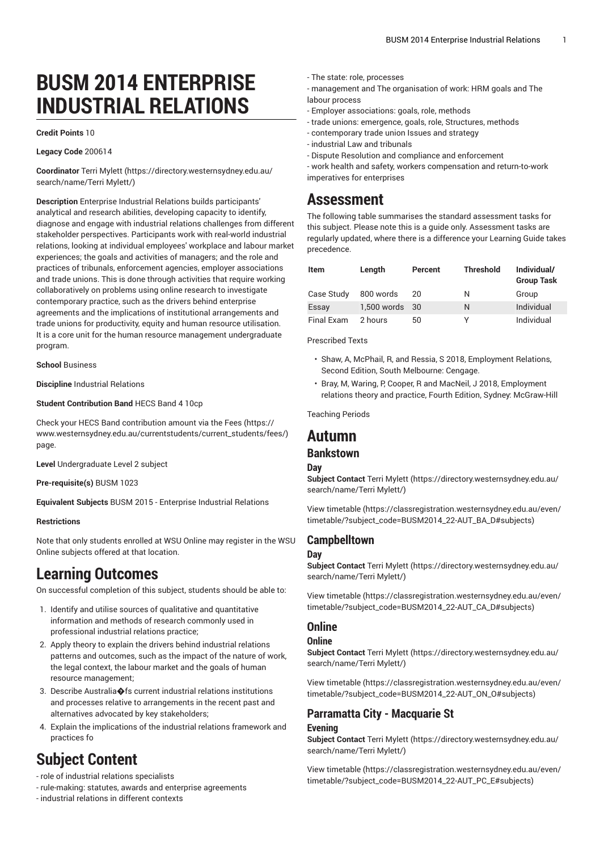# **BUSM 2014 ENTERPRISE INDUSTRIAL RELATIONS**

#### **Credit Points** 10

#### **Legacy Code** 200614

**Coordinator** Terri [Mylett](https://directory.westernsydney.edu.au/search/name/Terri Mylett/) ([https://directory.westernsydney.edu.au/](https://directory.westernsydney.edu.au/search/name/Terri Mylett/) [search/name/Terri](https://directory.westernsydney.edu.au/search/name/Terri Mylett/) Mylett/)

**Description** Enterprise Industrial Relations builds participants' analytical and research abilities, developing capacity to identify, diagnose and engage with industrial relations challenges from different stakeholder perspectives. Participants work with real-world industrial relations, looking at individual employees' workplace and labour market experiences; the goals and activities of managers; and the role and practices of tribunals, enforcement agencies, employer associations and trade unions. This is done through activities that require working collaboratively on problems using online research to investigate contemporary practice, such as the drivers behind enterprise agreements and the implications of institutional arrangements and trade unions for productivity, equity and human resource utilisation. It is a core unit for the human resource management undergraduate program.

**School** Business

**Discipline** Industrial Relations

#### **Student Contribution Band** HECS Band 4 10cp

Check your HECS Band contribution amount via the [Fees \(https://](https://www.westernsydney.edu.au/currentstudents/current_students/fees/) [www.westernsydney.edu.au/currentstudents/current\\_students/fees/\)](https://www.westernsydney.edu.au/currentstudents/current_students/fees/) page.

**Level** Undergraduate Level 2 subject

**Pre-requisite(s)** [BUSM 1023](/search/?P=BUSM%201023)

**Equivalent Subjects** BUSM 2015 - Enterprise Industrial Relations

#### **Restrictions**

Note that only students enrolled at WSU Online may register in the WSU Online subjects offered at that location.

# **Learning Outcomes**

On successful completion of this subject, students should be able to:

- 1. Identify and utilise sources of qualitative and quantitative information and methods of research commonly used in professional industrial relations practice;
- 2. Apply theory to explain the drivers behind industrial relations patterns and outcomes, such as the impact of the nature of work, the legal context, the labour market and the goals of human resource management;
- 3. Describe Australia�fs current industrial relations institutions and processes relative to arrangements in the recent past and alternatives advocated by key stakeholders;
- 4. Explain the implications of the industrial relations framework and practices fo

# **Subject Content**

- role of industrial relations specialists

- rule-making: statutes, awards and enterprise agreements

- industrial relations in different contexts

- The state: role, processes
- management and The organisation of work: HRM goals and The labour process
- Employer associations: goals, role, methods
- trade unions: emergence, goals, role, Structures, methods
- contemporary trade union Issues and strategy
- industrial Law and tribunals
- Dispute Resolution and compliance and enforcement

- work health and safety, workers compensation and return-to-work imperatives for enterprises

## **Assessment**

The following table summarises the standard assessment tasks for this subject. Please note this is a guide only. Assessment tasks are regularly updated, where there is a difference your Learning Guide takes precedence.

| <b>Item</b> | Length         | Percent | <b>Threshold</b> | Individual/<br><b>Group Task</b> |
|-------------|----------------|---------|------------------|----------------------------------|
| Case Study  | 800 words      | 20      | N                | Group                            |
| Essay       | 1,500 words 30 |         | N                | Individual                       |
| Final Exam  | 2 hours        | 50      | v                | Individual                       |

Prescribed Texts

- Shaw, A, McPhail, R, and Ressia, S 2018, Employment Relations, Second Edition, South Melbourne: Cengage.
- Bray, M, Waring, P, Cooper, R and MacNeil, J 2018, Employment relations theory and practice, Fourth Edition, Sydney: McGraw-Hill

Teaching Periods

### **Autumn**

### **Bankstown**

#### **Day**

**Subject Contact** Terri [Mylett \(https://directory.westernsydney.edu.au/](https://directory.westernsydney.edu.au/search/name/Terri Mylett/) [search/name/Terri](https://directory.westernsydney.edu.au/search/name/Terri Mylett/) Mylett/)

[View timetable](https://classregistration.westernsydney.edu.au/even/timetable/?subject_code=BUSM2014_22-AUT_BA_D#subjects) [\(https://classregistration.westernsydney.edu.au/even/](https://classregistration.westernsydney.edu.au/even/timetable/?subject_code=BUSM2014_22-AUT_BA_D#subjects) [timetable/?subject\\_code=BUSM2014\\_22-AUT\\_BA\\_D#subjects\)](https://classregistration.westernsydney.edu.au/even/timetable/?subject_code=BUSM2014_22-AUT_BA_D#subjects)

#### **Campbelltown**

#### **Day**

**Subject Contact** Terri [Mylett \(https://directory.westernsydney.edu.au/](https://directory.westernsydney.edu.au/search/name/Terri Mylett/) [search/name/Terri](https://directory.westernsydney.edu.au/search/name/Terri Mylett/) Mylett/)

[View timetable](https://classregistration.westernsydney.edu.au/even/timetable/?subject_code=BUSM2014_22-AUT_CA_D#subjects) [\(https://classregistration.westernsydney.edu.au/even/](https://classregistration.westernsydney.edu.au/even/timetable/?subject_code=BUSM2014_22-AUT_CA_D#subjects) [timetable/?subject\\_code=BUSM2014\\_22-AUT\\_CA\\_D#subjects\)](https://classregistration.westernsydney.edu.au/even/timetable/?subject_code=BUSM2014_22-AUT_CA_D#subjects)

### **Online**

#### **Online**

**Subject Contact** Terri [Mylett \(https://directory.westernsydney.edu.au/](https://directory.westernsydney.edu.au/search/name/Terri Mylett/) [search/name/Terri](https://directory.westernsydney.edu.au/search/name/Terri Mylett/) Mylett/)

[View timetable](https://classregistration.westernsydney.edu.au/even/timetable/?subject_code=BUSM2014_22-AUT_ON_O#subjects) [\(https://classregistration.westernsydney.edu.au/even/](https://classregistration.westernsydney.edu.au/even/timetable/?subject_code=BUSM2014_22-AUT_ON_O#subjects) [timetable/?subject\\_code=BUSM2014\\_22-AUT\\_ON\\_O#subjects\)](https://classregistration.westernsydney.edu.au/even/timetable/?subject_code=BUSM2014_22-AUT_ON_O#subjects)

# **Parramatta City - Macquarie St**

#### **Evening**

**Subject Contact** Terri [Mylett \(https://directory.westernsydney.edu.au/](https://directory.westernsydney.edu.au/search/name/Terri Mylett/) [search/name/Terri](https://directory.westernsydney.edu.au/search/name/Terri Mylett/) Mylett/)

[View timetable](https://classregistration.westernsydney.edu.au/even/timetable/?subject_code=BUSM2014_22-AUT_PC_E#subjects) [\(https://classregistration.westernsydney.edu.au/even/](https://classregistration.westernsydney.edu.au/even/timetable/?subject_code=BUSM2014_22-AUT_PC_E#subjects) [timetable/?subject\\_code=BUSM2014\\_22-AUT\\_PC\\_E#subjects\)](https://classregistration.westernsydney.edu.au/even/timetable/?subject_code=BUSM2014_22-AUT_PC_E#subjects)